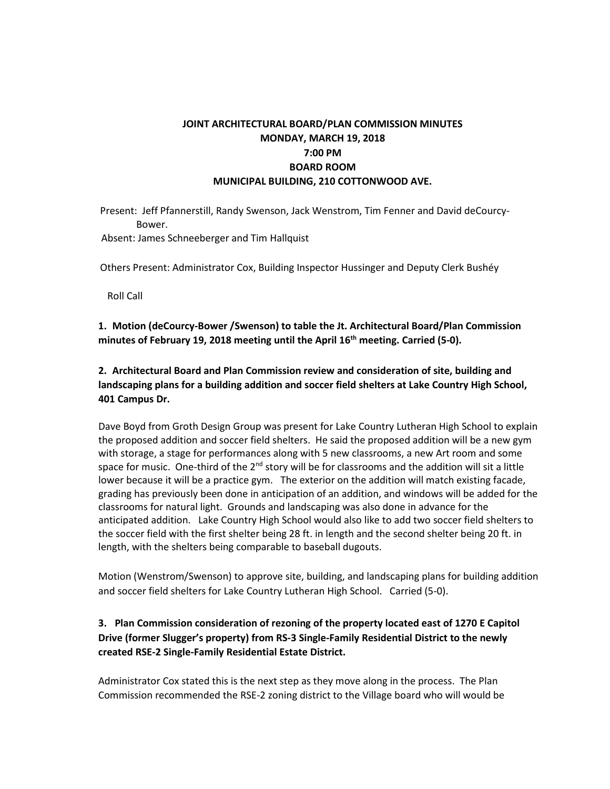# **JOINT ARCHITECTURAL BOARD/PLAN COMMISSION MINUTES MONDAY, MARCH 19, 2018 7:00 PM BOARD ROOM MUNICIPAL BUILDING, 210 COTTONWOOD AVE.**

Present: Jeff Pfannerstill, Randy Swenson, Jack Wenstrom, Tim Fenner and David deCourcy-Bower.

Absent: James Schneeberger and Tim Hallquist

Others Present: Administrator Cox, Building Inspector Hussinger and Deputy Clerk Bushéy

Roll Call

**1. Motion (deCourcy-Bower /Swenson) to table the Jt. Architectural Board/Plan Commission minutes of February 19, 2018 meeting until the April 16th meeting. Carried (5-0).**

**2. Architectural Board and Plan Commission review and consideration of site, building and landscaping plans for a building addition and soccer field shelters at Lake Country High School, 401 Campus Dr.**

Dave Boyd from Groth Design Group was present for Lake Country Lutheran High School to explain the proposed addition and soccer field shelters. He said the proposed addition will be a new gym with storage, a stage for performances along with 5 new classrooms, a new Art room and some space for music. One-third of the 2<sup>nd</sup> story will be for classrooms and the addition will sit a little lower because it will be a practice gym. The exterior on the addition will match existing facade, grading has previously been done in anticipation of an addition, and windows will be added for the classrooms for natural light. Grounds and landscaping was also done in advance for the anticipated addition. Lake Country High School would also like to add two soccer field shelters to the soccer field with the first shelter being 28 ft. in length and the second shelter being 20 ft. in length, with the shelters being comparable to baseball dugouts.

Motion (Wenstrom/Swenson) to approve site, building, and landscaping plans for building addition and soccer field shelters for Lake Country Lutheran High School. Carried (5-0).

## **3. Plan Commission consideration of rezoning of the property located east of 1270 E Capitol Drive (former Slugger's property) from RS-3 Single-Family Residential District to the newly created RSE-2 Single-Family Residential Estate District.**

Administrator Cox stated this is the next step as they move along in the process. The Plan Commission recommended the RSE-2 zoning district to the Village board who will would be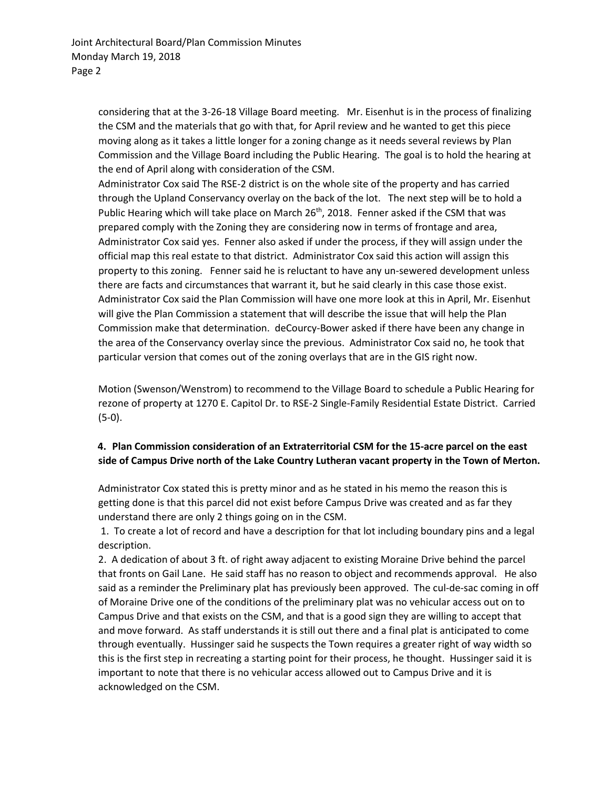considering that at the 3-26-18 Village Board meeting. Mr. Eisenhut is in the process of finalizing the CSM and the materials that go with that, for April review and he wanted to get this piece moving along as it takes a little longer for a zoning change as it needs several reviews by Plan Commission and the Village Board including the Public Hearing. The goal is to hold the hearing at the end of April along with consideration of the CSM.

Administrator Cox said The RSE-2 district is on the whole site of the property and has carried through the Upland Conservancy overlay on the back of the lot. The next step will be to hold a Public Hearing which will take place on March 26<sup>th</sup>, 2018. Fenner asked if the CSM that was prepared comply with the Zoning they are considering now in terms of frontage and area, Administrator Cox said yes. Fenner also asked if under the process, if they will assign under the official map this real estate to that district. Administrator Cox said this action will assign this property to this zoning. Fenner said he is reluctant to have any un-sewered development unless there are facts and circumstances that warrant it, but he said clearly in this case those exist. Administrator Cox said the Plan Commission will have one more look at this in April, Mr. Eisenhut will give the Plan Commission a statement that will describe the issue that will help the Plan Commission make that determination. deCourcy-Bower asked if there have been any change in the area of the Conservancy overlay since the previous. Administrator Cox said no, he took that particular version that comes out of the zoning overlays that are in the GIS right now.

Motion (Swenson/Wenstrom) to recommend to the Village Board to schedule a Public Hearing for rezone of property at 1270 E. Capitol Dr. to RSE-2 Single-Family Residential Estate District. Carried (5-0).

## **4. Plan Commission consideration of an Extraterritorial CSM for the 15-acre parcel on the east side of Campus Drive north of the Lake Country Lutheran vacant property in the Town of Merton.**

Administrator Cox stated this is pretty minor and as he stated in his memo the reason this is getting done is that this parcel did not exist before Campus Drive was created and as far they understand there are only 2 things going on in the CSM.

1. To create a lot of record and have a description for that lot including boundary pins and a legal description.

2. A dedication of about 3 ft. of right away adjacent to existing Moraine Drive behind the parcel that fronts on Gail Lane. He said staff has no reason to object and recommends approval. He also said as a reminder the Preliminary plat has previously been approved. The cul-de-sac coming in off of Moraine Drive one of the conditions of the preliminary plat was no vehicular access out on to Campus Drive and that exists on the CSM, and that is a good sign they are willing to accept that and move forward. As staff understands it is still out there and a final plat is anticipated to come through eventually. Hussinger said he suspects the Town requires a greater right of way width so this is the first step in recreating a starting point for their process, he thought. Hussinger said it is important to note that there is no vehicular access allowed out to Campus Drive and it is acknowledged on the CSM.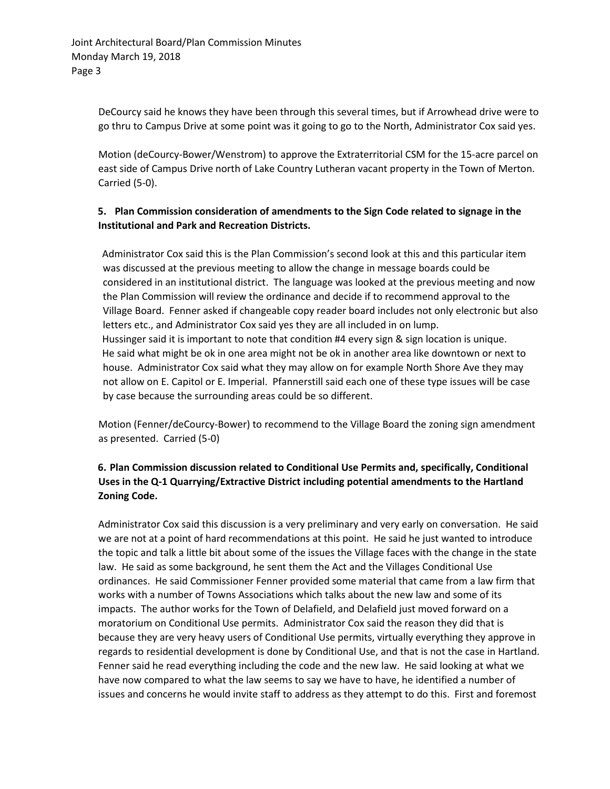DeCourcy said he knows they have been through this several times, but if Arrowhead drive were to go thru to Campus Drive at some point was it going to go to the North, Administrator Cox said yes.

Motion (deCourcy-Bower/Wenstrom) to approve the Extraterritorial CSM for the 15-acre parcel on east side of Campus Drive north of Lake Country Lutheran vacant property in the Town of Merton. Carried (5-0).

### **5. Plan Commission consideration of amendments to the Sign Code related to signage in the Institutional and Park and Recreation Districts.**

Administrator Cox said this is the Plan Commission's second look at this and this particular item was discussed at the previous meeting to allow the change in message boards could be considered in an institutional district. The language was looked at the previous meeting and now the Plan Commission will review the ordinance and decide if to recommend approval to the Village Board. Fenner asked if changeable copy reader board includes not only electronic but also letters etc., and Administrator Cox said yes they are all included in on lump. Hussinger said it is important to note that condition #4 every sign & sign location is unique. He said what might be ok in one area might not be ok in another area like downtown or next to house. Administrator Cox said what they may allow on for example North Shore Ave they may not allow on E. Capitol or E. Imperial. Pfannerstill said each one of these type issues will be case by case because the surrounding areas could be so different.

Motion (Fenner/deCourcy-Bower) to recommend to the Village Board the zoning sign amendment as presented. Carried (5-0)

# **6. Plan Commission discussion related to Conditional Use Permits and, specifically, Conditional Uses in the Q-1 Quarrying/Extractive District including potential amendments to the Hartland Zoning Code.**

Administrator Cox said this discussion is a very preliminary and very early on conversation. He said we are not at a point of hard recommendations at this point. He said he just wanted to introduce the topic and talk a little bit about some of the issues the Village faces with the change in the state law. He said as some background, he sent them the Act and the Villages Conditional Use ordinances. He said Commissioner Fenner provided some material that came from a law firm that works with a number of Towns Associations which talks about the new law and some of its impacts. The author works for the Town of Delafield, and Delafield just moved forward on a moratorium on Conditional Use permits. Administrator Cox said the reason they did that is because they are very heavy users of Conditional Use permits, virtually everything they approve in regards to residential development is done by Conditional Use, and that is not the case in Hartland. Fenner said he read everything including the code and the new law. He said looking at what we have now compared to what the law seems to say we have to have, he identified a number of issues and concerns he would invite staff to address as they attempt to do this. First and foremost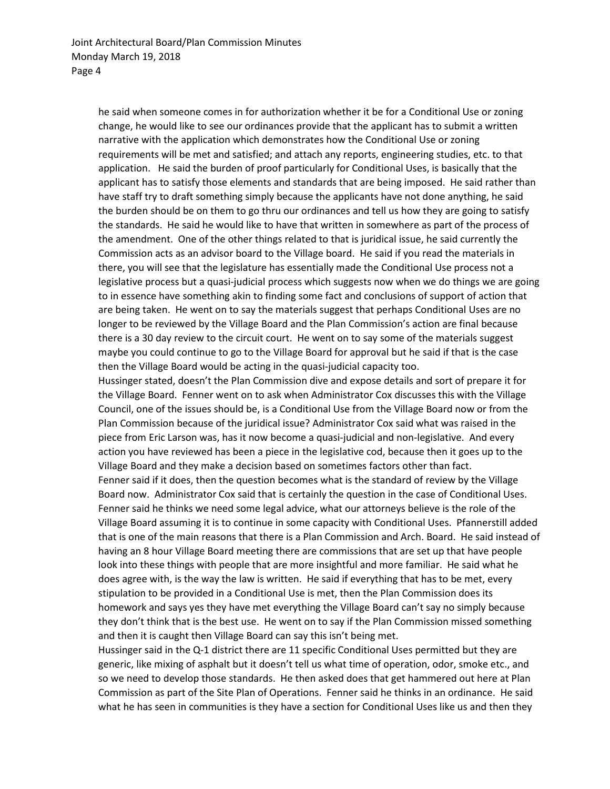he said when someone comes in for authorization whether it be for a Conditional Use or zoning change, he would like to see our ordinances provide that the applicant has to submit a written narrative with the application which demonstrates how the Conditional Use or zoning requirements will be met and satisfied; and attach any reports, engineering studies, etc. to that application. He said the burden of proof particularly for Conditional Uses, is basically that the applicant has to satisfy those elements and standards that are being imposed. He said rather than have staff try to draft something simply because the applicants have not done anything, he said the burden should be on them to go thru our ordinances and tell us how they are going to satisfy the standards. He said he would like to have that written in somewhere as part of the process of the amendment. One of the other things related to that is juridical issue, he said currently the Commission acts as an advisor board to the Village board. He said if you read the materials in there, you will see that the legislature has essentially made the Conditional Use process not a legislative process but a quasi-judicial process which suggests now when we do things we are going to in essence have something akin to finding some fact and conclusions of support of action that are being taken. He went on to say the materials suggest that perhaps Conditional Uses are no longer to be reviewed by the Village Board and the Plan Commission's action are final because there is a 30 day review to the circuit court. He went on to say some of the materials suggest maybe you could continue to go to the Village Board for approval but he said if that is the case then the Village Board would be acting in the quasi-judicial capacity too.

Hussinger stated, doesn't the Plan Commission dive and expose details and sort of prepare it for the Village Board. Fenner went on to ask when Administrator Cox discusses this with the Village Council, one of the issues should be, is a Conditional Use from the Village Board now or from the Plan Commission because of the juridical issue? Administrator Cox said what was raised in the piece from Eric Larson was, has it now become a quasi-judicial and non-legislative. And every action you have reviewed has been a piece in the legislative cod, because then it goes up to the Village Board and they make a decision based on sometimes factors other than fact. Fenner said if it does, then the question becomes what is the standard of review by the Village Board now. Administrator Cox said that is certainly the question in the case of Conditional Uses. Fenner said he thinks we need some legal advice, what our attorneys believe is the role of the Village Board assuming it is to continue in some capacity with Conditional Uses. Pfannerstill added that is one of the main reasons that there is a Plan Commission and Arch. Board. He said instead of having an 8 hour Village Board meeting there are commissions that are set up that have people look into these things with people that are more insightful and more familiar. He said what he does agree with, is the way the law is written. He said if everything that has to be met, every stipulation to be provided in a Conditional Use is met, then the Plan Commission does its homework and says yes they have met everything the Village Board can't say no simply because they don't think that is the best use. He went on to say if the Plan Commission missed something and then it is caught then Village Board can say this isn't being met.

Hussinger said in the Q-1 district there are 11 specific Conditional Uses permitted but they are generic, like mixing of asphalt but it doesn't tell us what time of operation, odor, smoke etc., and so we need to develop those standards. He then asked does that get hammered out here at Plan Commission as part of the Site Plan of Operations. Fenner said he thinks in an ordinance. He said what he has seen in communities is they have a section for Conditional Uses like us and then they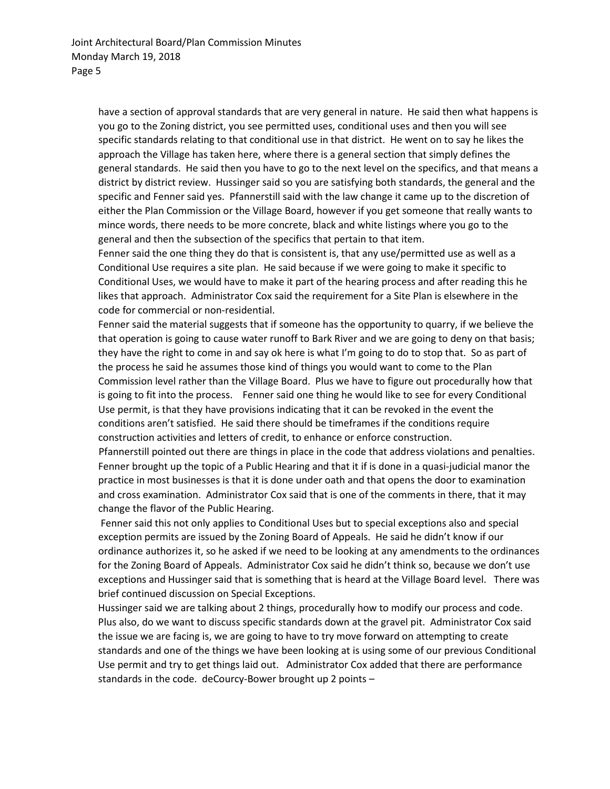have a section of approval standards that are very general in nature. He said then what happens is you go to the Zoning district, you see permitted uses, conditional uses and then you will see specific standards relating to that conditional use in that district. He went on to say he likes the approach the Village has taken here, where there is a general section that simply defines the general standards. He said then you have to go to the next level on the specifics, and that means a district by district review. Hussinger said so you are satisfying both standards, the general and the specific and Fenner said yes. Pfannerstill said with the law change it came up to the discretion of either the Plan Commission or the Village Board, however if you get someone that really wants to mince words, there needs to be more concrete, black and white listings where you go to the general and then the subsection of the specifics that pertain to that item.

Fenner said the one thing they do that is consistent is, that any use/permitted use as well as a Conditional Use requires a site plan. He said because if we were going to make it specific to Conditional Uses, we would have to make it part of the hearing process and after reading this he likes that approach. Administrator Cox said the requirement for a Site Plan is elsewhere in the code for commercial or non-residential.

Fenner said the material suggests that if someone has the opportunity to quarry, if we believe the that operation is going to cause water runoff to Bark River and we are going to deny on that basis; they have the right to come in and say ok here is what I'm going to do to stop that. So as part of the process he said he assumes those kind of things you would want to come to the Plan Commission level rather than the Village Board. Plus we have to figure out procedurally how that is going to fit into the process. Fenner said one thing he would like to see for every Conditional Use permit, is that they have provisions indicating that it can be revoked in the event the conditions aren't satisfied. He said there should be timeframes if the conditions require construction activities and letters of credit, to enhance or enforce construction.

Pfannerstill pointed out there are things in place in the code that address violations and penalties. Fenner brought up the topic of a Public Hearing and that it if is done in a quasi-judicial manor the practice in most businesses is that it is done under oath and that opens the door to examination and cross examination. Administrator Cox said that is one of the comments in there, that it may change the flavor of the Public Hearing.

Fenner said this not only applies to Conditional Uses but to special exceptions also and special exception permits are issued by the Zoning Board of Appeals. He said he didn't know if our ordinance authorizes it, so he asked if we need to be looking at any amendments to the ordinances for the Zoning Board of Appeals. Administrator Cox said he didn't think so, because we don't use exceptions and Hussinger said that is something that is heard at the Village Board level. There was brief continued discussion on Special Exceptions.

Hussinger said we are talking about 2 things, procedurally how to modify our process and code. Plus also, do we want to discuss specific standards down at the gravel pit. Administrator Cox said the issue we are facing is, we are going to have to try move forward on attempting to create standards and one of the things we have been looking at is using some of our previous Conditional Use permit and try to get things laid out. Administrator Cox added that there are performance standards in the code. deCourcy-Bower brought up 2 points –